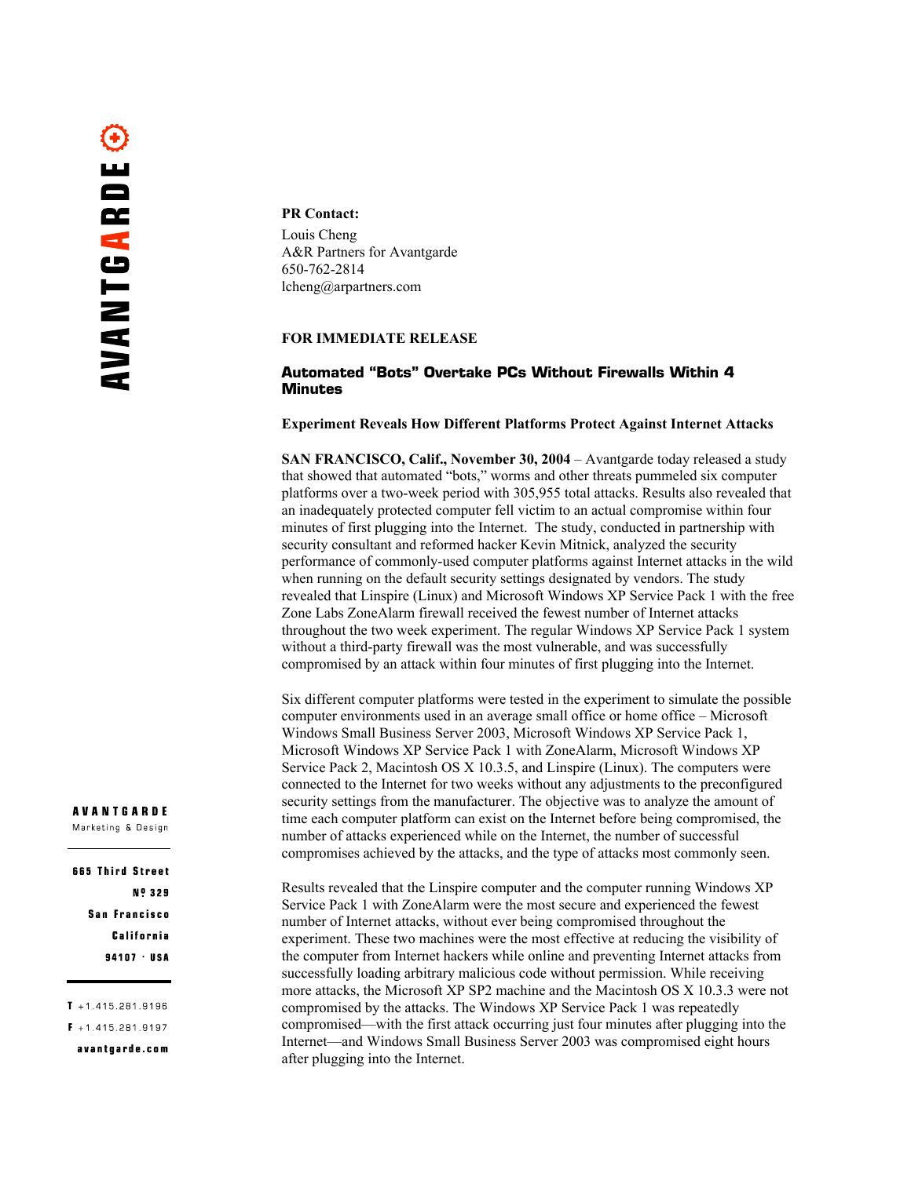# PR Contact:

Louis Cheng A&R Partners for Avantgarde 650-762-2814 lcheng@arpartners.com

# FOR IMMEDIATE RELEASE

# **Automated "Bots" Overtake PCs Without Firewalls Within 4 Minutes**

## Experiment Reveals How Different Platforms Protect Against Internet Attacks

SAN FRANCISCO, Calif., November 30, 2004 – Avantgarde today released a study that showed that automated "bots," worms and other threats pummeled six computer platforms over a two-week period with 305,955 total attacks. Results also revealed that an inadequately protected computer fell victim to an actual compromise within four minutes of first plugging into the Internet. The study, conducted in partnership with security consultant and reformed hacker Kevin Mitnick, analyzed the security performance of commonly-used computer platforms against Internet attacks in the wild when running on the default security settings designated by vendors. The study revealed that Linspire (Linux) and Microsoft Windows XP Service Pack 1 with the free Zone Labs ZoneAlarm firewall received the fewest number of Internet attacks throughout the two week experiment. The regular Windows XP Service Pack 1 system without a third-party firewall was the most vulnerable, and was successfully compromised by an attack within four minutes of first plugging into the Internet.

Six different computer platforms were tested in the experiment to simulate the possible computer environments used in an average small office or home office – Microsoft Windows Small Business Server 2003, Microsoft Windows XP Service Pack 1, Microsoft Windows XP Service Pack 1 with ZoneAlarm, Microsoft Windows XP Service Pack 2, Macintosh OS X 10.3.5, and Linspire (Linux). The computers were connected to the Internet for two weeks without any adjustments to the preconfigured security settings from the manufacturer. The objective was to analyze the amount of time each computer platform can exist on the Internet before being compromised, the number of attacks experienced while on the Internet, the number of successful compromises achieved by the attacks, and the type of attacks most commonly seen.

Results revealed that the Linspire computer and the computer running Windows XP Service Pack 1 with ZoneAlarm were the most secure and experienced the fewest number of Internet attacks, without ever being compromised throughout the experiment. These two machines were the most effective at reducing the visibility of the computer from Internet hackers while online and preventing Internet attacks from successfully loading arbitrary malicious code without permission. While receiving more attacks, the Microsoft XP SP2 machine and the Macintosh OS X 10.3.3 were not compromised by the attacks. The Windows XP Service Pack 1 was repeatedly compromised—with the first attack occurring just four minutes after plugging into the Internet—and Windows Small Business Server 2003 was compromised eight hours after plugging into the Internet.

#### **AVANTGARDE** Marketing & Design

665 Third Street **Nº 329 San Francisco** California 94107 USA

 $T + 14152819196$ 

 $F + 14152819197$ 

avantgarde.com